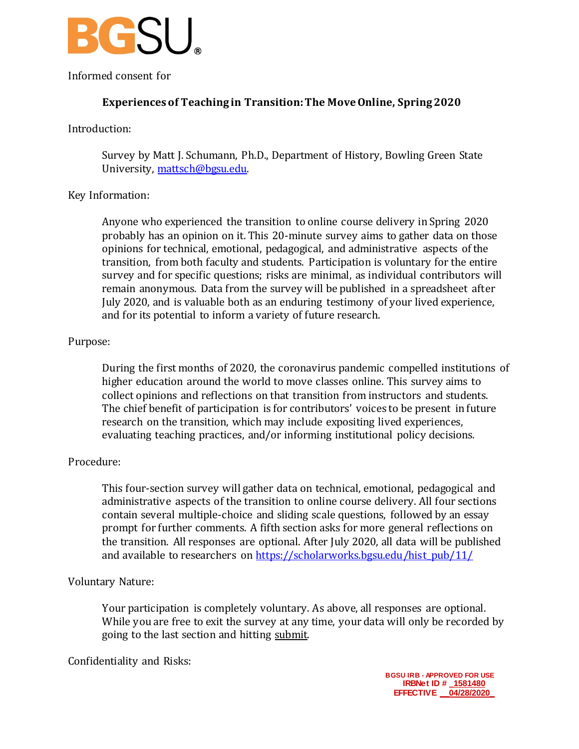

Informed consent for

# **Experiences of Teaching in Transition: The Move Online, Spring 2020**

## Introduction:

Survey by Matt J. Schumann, Ph.D., Department of History, Bowling Green State University, [mattsch@bgsu.edu.](mailto:mattsch@bgsu.edu)

# Key Information:

Anyone who experienced the transition to online course delivery in Spring 2020 probably has an opinion on it. This 20-minute survey aims to gather data on those opinions for technical, emotional, pedagogical, and administrative aspects of the transition, from both faculty and students. Participation is voluntary for the entire survey and for specific questions; risks are minimal, as individual contributors will remain anonymous. Data from the survey will be published in a spreadsheet after July 2020, and is valuable both as an enduring testimony of your lived experience, and for its potential to inform a variety of future research.

## Purpose:

During the first months of 2020, the coronavirus pandemic compelled institutions of higher education around the world to move classes online. This survey aims to collect opinions and reflections on that transition from instructors and students. The chief benefit of participation is for contributors' voices to be present in future research on the transition, which may include expositing lived experiences, evaluating teaching practices, and/or informing institutional policy decisions.

# Procedure:

This four-section survey will gather data on technical, emotional, pedagogical and administrative aspects of the transition to online course delivery. All four sections contain several multiple-choice and sliding scale questions, followed by an essay prompt for further comments. A fifth section asks for more general reflections on the transition. All responses are optional. After July 2020, all data will be published and available to researchers on [https://scholarworks.bgsu.edu/hist\\_pub/11/](https://scholarworks.bgsu.edu/hist_pub/11/)

#### Voluntary Nature:

Your participation is completely voluntary. As above, all responses are optional. While you are free to exit the survey at any time, your data will only be recorded by going to the last section and hitting submit.

#### Confidentiality and Risks: